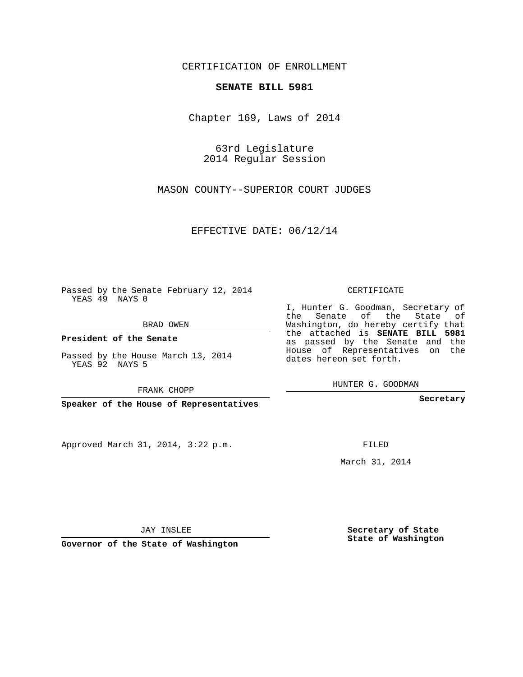## CERTIFICATION OF ENROLLMENT

## **SENATE BILL 5981**

Chapter 169, Laws of 2014

63rd Legislature 2014 Regular Session

MASON COUNTY--SUPERIOR COURT JUDGES

EFFECTIVE DATE: 06/12/14

Passed by the Senate February 12, 2014 YEAS 49 NAYS 0

BRAD OWEN

**President of the Senate**

Passed by the House March 13, 2014 YEAS 92 NAYS 5

FRANK CHOPP

**Speaker of the House of Representatives**

Approved March 31, 2014, 3:22 p.m.

CERTIFICATE

I, Hunter G. Goodman, Secretary of the Senate of the State of Washington, do hereby certify that the attached is **SENATE BILL 5981** as passed by the Senate and the House of Representatives on the dates hereon set forth.

HUNTER G. GOODMAN

**Secretary**

FILED

March 31, 2014

**Secretary of State State of Washington**

JAY INSLEE

**Governor of the State of Washington**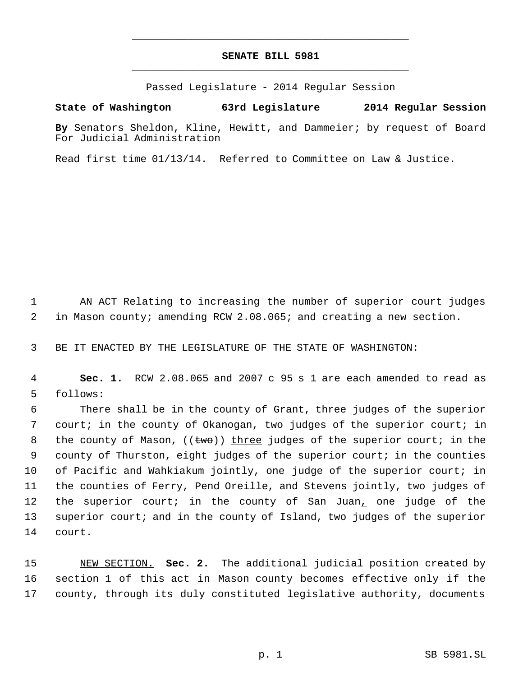## **SENATE BILL 5981** \_\_\_\_\_\_\_\_\_\_\_\_\_\_\_\_\_\_\_\_\_\_\_\_\_\_\_\_\_\_\_\_\_\_\_\_\_\_\_\_\_\_\_\_\_

\_\_\_\_\_\_\_\_\_\_\_\_\_\_\_\_\_\_\_\_\_\_\_\_\_\_\_\_\_\_\_\_\_\_\_\_\_\_\_\_\_\_\_\_\_

Passed Legislature - 2014 Regular Session

## **State of Washington 63rd Legislature 2014 Regular Session**

**By** Senators Sheldon, Kline, Hewitt, and Dammeier; by request of Board For Judicial Administration

Read first time 01/13/14. Referred to Committee on Law & Justice.

 AN ACT Relating to increasing the number of superior court judges in Mason county; amending RCW 2.08.065; and creating a new section.

BE IT ENACTED BY THE LEGISLATURE OF THE STATE OF WASHINGTON:

 **Sec. 1.** RCW 2.08.065 and 2007 c 95 s 1 are each amended to read as follows:

 There shall be in the county of Grant, three judges of the superior court; in the county of Okanogan, two judges of the superior court; in 8 the county of Mason,  $((\text{two}))$  three judges of the superior court; in the county of Thurston, eight judges of the superior court; in the counties of Pacific and Wahkiakum jointly, one judge of the superior court; in the counties of Ferry, Pend Oreille, and Stevens jointly, two judges of the superior court; in the county of San Juan, one judge of the superior court; and in the county of Island, two judges of the superior court.

 NEW SECTION. **Sec. 2.** The additional judicial position created by section 1 of this act in Mason county becomes effective only if the county, through its duly constituted legislative authority, documents